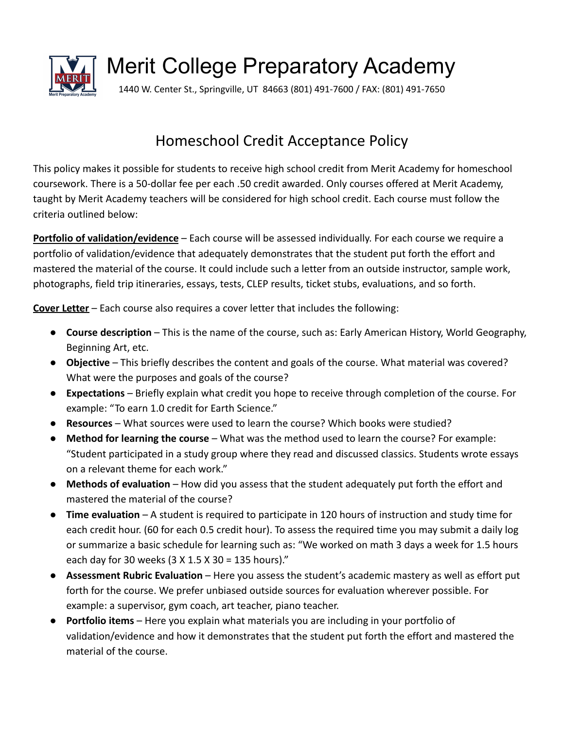

Merit College Preparatory Academy

1440 W. Center St., Springville, UT 84663 (801) 491-7600 / FAX: (801) 491-7650

## Homeschool Credit Acceptance Policy

This policy makes it possible for students to receive high school credit from Merit Academy for homeschool coursework. There is a 50-dollar fee per each .50 credit awarded. Only courses offered at Merit Academy, taught by Merit Academy teachers will be considered for high school credit. Each course must follow the criteria outlined below:

**Portfolio of validation/evidence** – Each course will be assessed individually. For each course we require a portfolio of validation/evidence that adequately demonstrates that the student put forth the effort and mastered the material of the course. It could include such a letter from an outside instructor, sample work, photographs, field trip itineraries, essays, tests, CLEP results, ticket stubs, evaluations, and so forth.

**Cover Letter** – Each course also requires a cover letter that includes the following:

- **Course description** This is the name of the course, such as: Early American History, World Geography, Beginning Art, etc.
- **Objective** This briefly describes the content and goals of the course. What material was covered? What were the purposes and goals of the course?
- **Expectations** Briefly explain what credit you hope to receive through completion of the course. For example: "To earn 1.0 credit for Earth Science."
- **Resources** What sources were used to learn the course? Which books were studied?
- **Method for learning the course** What was the method used to learn the course? For example: "Student participated in a study group where they read and discussed classics. Students wrote essays on a relevant theme for each work."
- **Methods of evaluation** How did you assess that the student adequately put forth the effort and mastered the material of the course?
- **Time evaluation** A student is required to participate in 120 hours of instruction and study time for each credit hour. (60 for each 0.5 credit hour). To assess the required time you may submit a daily log or summarize a basic schedule for learning such as: "We worked on math 3 days a week for 1.5 hours each day for 30 weeks (3 X 1.5 X 30 = 135 hours)."
- **Assessment Rubric Evaluation** Here you assess the student's academic mastery as well as effort put forth for the course. We prefer unbiased outside sources for evaluation wherever possible. For example: a supervisor, gym coach, art teacher, piano teacher.
- **Portfolio items** Here you explain what materials you are including in your portfolio of validation/evidence and how it demonstrates that the student put forth the effort and mastered the material of the course.